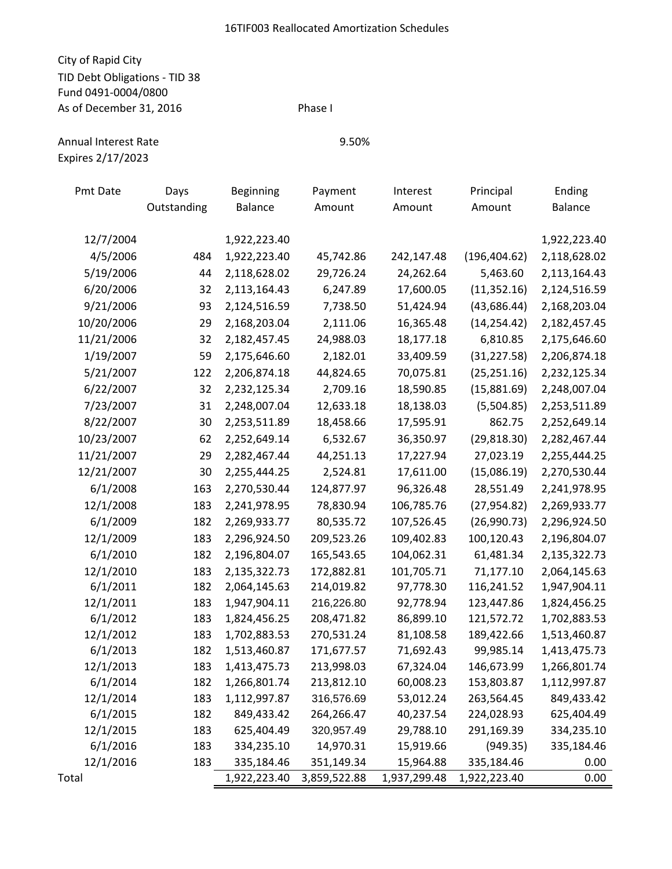## City of Rapid City TID Debt Obligations - TID 38 Fund 0491-0004/0800 As of December 31, 2016 Phase I

Expires 2/17/2023

| Pmt Date   | Days        | Beginning    | Payment      | Interest     | Principal     | Ending       |
|------------|-------------|--------------|--------------|--------------|---------------|--------------|
|            | Outstanding | Balance      | Amount       | Amount       | Amount        | Balance      |
|            |             |              |              |              |               |              |
| 12/7/2004  |             | 1,922,223.40 |              |              |               | 1,922,223.40 |
| 4/5/2006   | 484         | 1,922,223.40 | 45,742.86    | 242,147.48   | (196, 404.62) | 2,118,628.02 |
| 5/19/2006  | 44          | 2,118,628.02 | 29,726.24    | 24,262.64    | 5,463.60      | 2,113,164.43 |
| 6/20/2006  | 32          | 2,113,164.43 | 6,247.89     | 17,600.05    | (11, 352.16)  | 2,124,516.59 |
| 9/21/2006  | 93          | 2,124,516.59 | 7,738.50     | 51,424.94    | (43, 686.44)  | 2,168,203.04 |
| 10/20/2006 | 29          | 2,168,203.04 | 2,111.06     | 16,365.48    | (14, 254.42)  | 2,182,457.45 |
| 11/21/2006 | 32          | 2,182,457.45 | 24,988.03    | 18,177.18    | 6,810.85      | 2,175,646.60 |
| 1/19/2007  | 59          | 2,175,646.60 | 2,182.01     | 33,409.59    | (31, 227.58)  | 2,206,874.18 |
| 5/21/2007  | 122         | 2,206,874.18 | 44,824.65    | 70,075.81    | (25, 251.16)  | 2,232,125.34 |
| 6/22/2007  | 32          | 2,232,125.34 | 2,709.16     | 18,590.85    | (15,881.69)   | 2,248,007.04 |
| 7/23/2007  | 31          | 2,248,007.04 | 12,633.18    | 18,138.03    | (5,504.85)    | 2,253,511.89 |
| 8/22/2007  | 30          | 2,253,511.89 | 18,458.66    | 17,595.91    | 862.75        | 2,252,649.14 |
| 10/23/2007 | 62          | 2,252,649.14 | 6,532.67     | 36,350.97    | (29, 818.30)  | 2,282,467.44 |
| 11/21/2007 | 29          | 2,282,467.44 | 44,251.13    | 17,227.94    | 27,023.19     | 2,255,444.25 |
| 12/21/2007 | 30          | 2,255,444.25 | 2,524.81     | 17,611.00    | (15,086.19)   | 2,270,530.44 |
| 6/1/2008   | 163         | 2,270,530.44 | 124,877.97   | 96,326.48    | 28,551.49     | 2,241,978.95 |
| 12/1/2008  | 183         | 2,241,978.95 | 78,830.94    | 106,785.76   | (27, 954.82)  | 2,269,933.77 |
| 6/1/2009   | 182         | 2,269,933.77 | 80,535.72    | 107,526.45   | (26,990.73)   | 2,296,924.50 |
| 12/1/2009  | 183         | 2,296,924.50 | 209,523.26   | 109,402.83   | 100,120.43    | 2,196,804.07 |
| 6/1/2010   | 182         | 2,196,804.07 | 165,543.65   | 104,062.31   | 61,481.34     | 2,135,322.73 |
| 12/1/2010  | 183         | 2,135,322.73 | 172,882.81   | 101,705.71   | 71,177.10     | 2,064,145.63 |
| 6/1/2011   | 182         | 2,064,145.63 | 214,019.82   | 97,778.30    | 116,241.52    | 1,947,904.11 |
| 12/1/2011  | 183         | 1,947,904.11 | 216,226.80   | 92,778.94    | 123,447.86    | 1,824,456.25 |
| 6/1/2012   | 183         | 1,824,456.25 | 208,471.82   | 86,899.10    | 121,572.72    | 1,702,883.53 |
| 12/1/2012  | 183         | 1,702,883.53 | 270,531.24   | 81,108.58    | 189,422.66    | 1,513,460.87 |
| 6/1/2013   | 182         | 1,513,460.87 | 171,677.57   | 71,692.43    | 99,985.14     | 1,413,475.73 |
| 12/1/2013  | 183         | 1,413,475.73 | 213,998.03   | 67,324.04    | 146,673.99    | 1,266,801.74 |
| 6/1/2014   | 182         | 1,266,801.74 | 213,812.10   | 60,008.23    | 153,803.87    | 1,112,997.87 |
| 12/1/2014  | 183         | 1,112,997.87 | 316,576.69   | 53,012.24    | 263,564.45    | 849,433.42   |
| 6/1/2015   | 182         | 849,433.42   | 264,266.47   | 40,237.54    | 224,028.93    | 625,404.49   |
| 12/1/2015  | 183         | 625,404.49   | 320,957.49   | 29,788.10    | 291,169.39    | 334,235.10   |
| 6/1/2016   | 183         | 334,235.10   | 14,970.31    | 15,919.66    | (949.35)      | 335,184.46   |
| 12/1/2016  | 183         | 335,184.46   | 351,149.34   | 15,964.88    | 335,184.46    | 0.00         |
| Total      |             | 1,922,223.40 | 3,859,522.88 | 1,937,299.48 | 1,922,223.40  | 0.00         |

Annual Interest Rate 9.50%